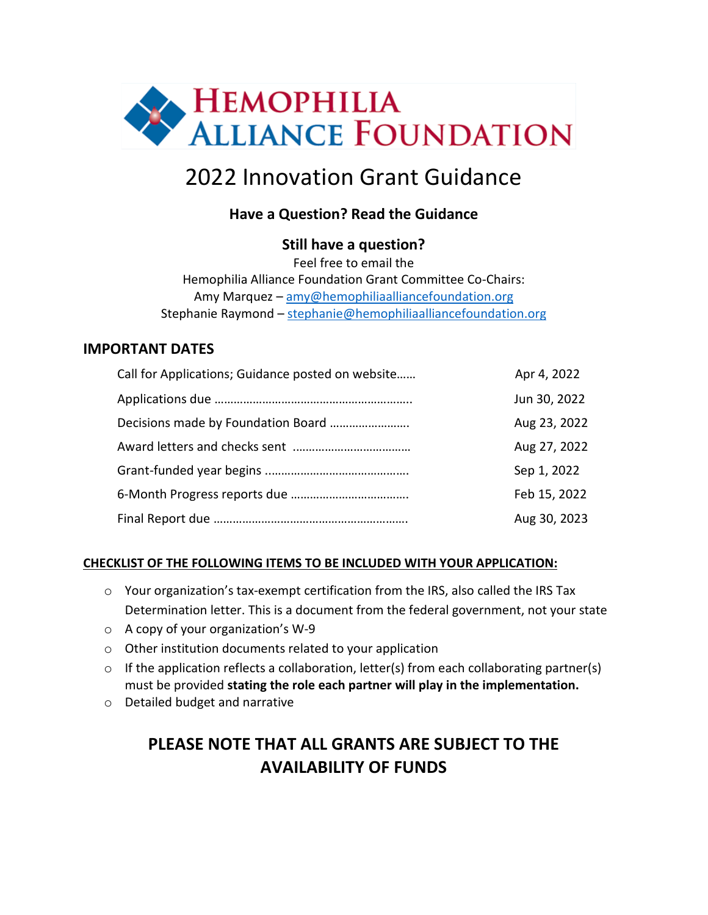

# 2022 Innovation Grant Guidance

### **Have a Question? Read the Guidance**

#### **Still have a question?**

Feel free to email the Hemophilia Alliance Foundation Grant Committee Co-Chairs: Amy Marquez - [amy@hemophiliaalliancefoundation.org](mailto:amy@hemophiliaalliancefoundation.org) Stephanie Raymond - [stephanie@hemophiliaalliancefoundation.org](mailto:stephanie@hemophiliaalliancefoundation.org)

#### **IMPORTANT DATES**

| Call for Applications; Guidance posted on website | Apr 4, 2022  |
|---------------------------------------------------|--------------|
|                                                   | Jun 30, 2022 |
|                                                   | Aug 23, 2022 |
|                                                   | Aug 27, 2022 |
|                                                   | Sep 1, 2022  |
|                                                   | Feb 15, 2022 |
|                                                   | Aug 30, 2023 |

#### **CHECKLIST OF THE FOLLOWING ITEMS TO BE INCLUDED WITH YOUR APPLICATION:**

- o Your organization's tax-exempt certification from the IRS, also called the IRS Tax Determination letter. This is a document from the federal government, not your state
- o A copy of your organization's W-9
- o Other institution documents related to your application
- $\circ$  If the application reflects a collaboration, letter(s) from each collaborating partner(s) must be provided **stating the role each partner will play in the implementation.**
- o Detailed budget and narrative

## **PLEASE NOTE THAT ALL GRANTS ARE SUBJECT TO THE AVAILABILITY OF FUNDS**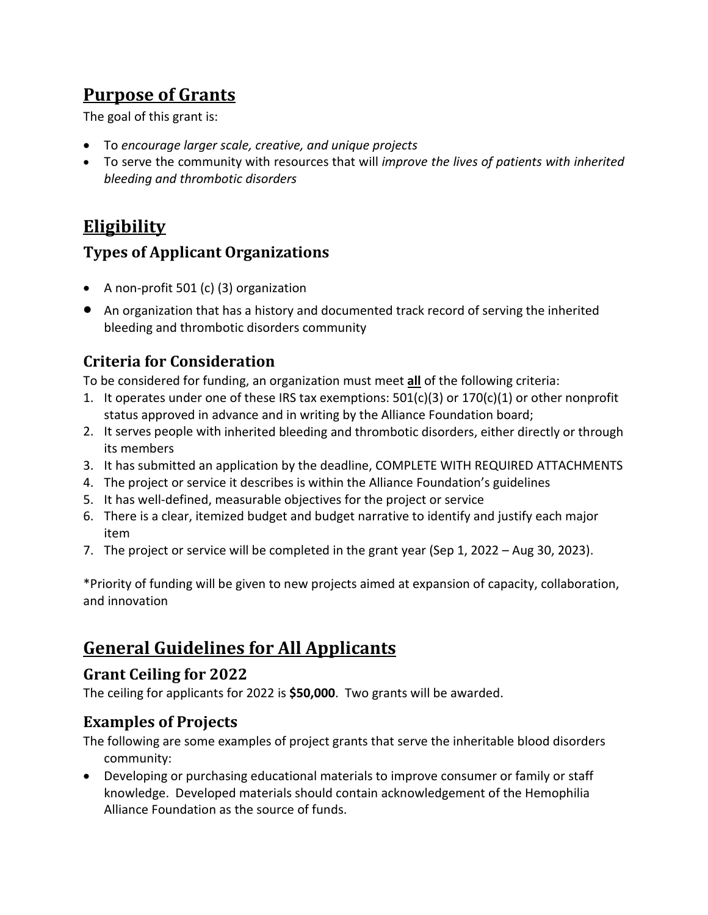## **Purpose of Grants**

The goal of this grant is:

- To *encourage larger scale, creative, and unique projects*
- To serve the community with resources that will *improve the lives of patients with inherited bleeding and thrombotic disorders*

## **Eligibility**

### **Types of Applicant Organizations**

- A non-profit 501 (c) (3) organization
- An organization that has a history and documented track record of serving the inherited bleeding and thrombotic disorders community

### **Criteria for Consideration**

To be considered for funding, an organization must meet **all** of the following criteria:

- 1. It operates under one of these IRS tax exemptions:  $501(c)(3)$  or  $170(c)(1)$  or other nonprofit status approved in advance and in writing by the Alliance Foundation board;
- 2. It serves people with inherited bleeding and thrombotic disorders, either directly or through its members
- 3. It has submitted an application by the deadline, COMPLETE WITH REQUIRED ATTACHMENTS
- 4. The project or service it describes is within the Alliance Foundation's guidelines
- 5. It has well-defined, measurable objectives for the project or service
- 6. There is a clear, itemized budget and budget narrative to identify and justify each major item
- 7. The project or service will be completed in the grant year (Sep 1, 2022 Aug 30, 2023).

\*Priority of funding will be given to new projects aimed at expansion of capacity, collaboration, and innovation

# **General Guidelines for All Applicants**

### **Grant Ceiling for 2022**

The ceiling for applicants for 2022 is **\$50,000**. Two grants will be awarded.

### **Examples of Projects**

- The following are some examples of project grants that serve the inheritable blood disorders community:
- Developing or purchasing educational materials to improve consumer or family or staff knowledge. Developed materials should contain acknowledgement of the Hemophilia Alliance Foundation as the source of funds.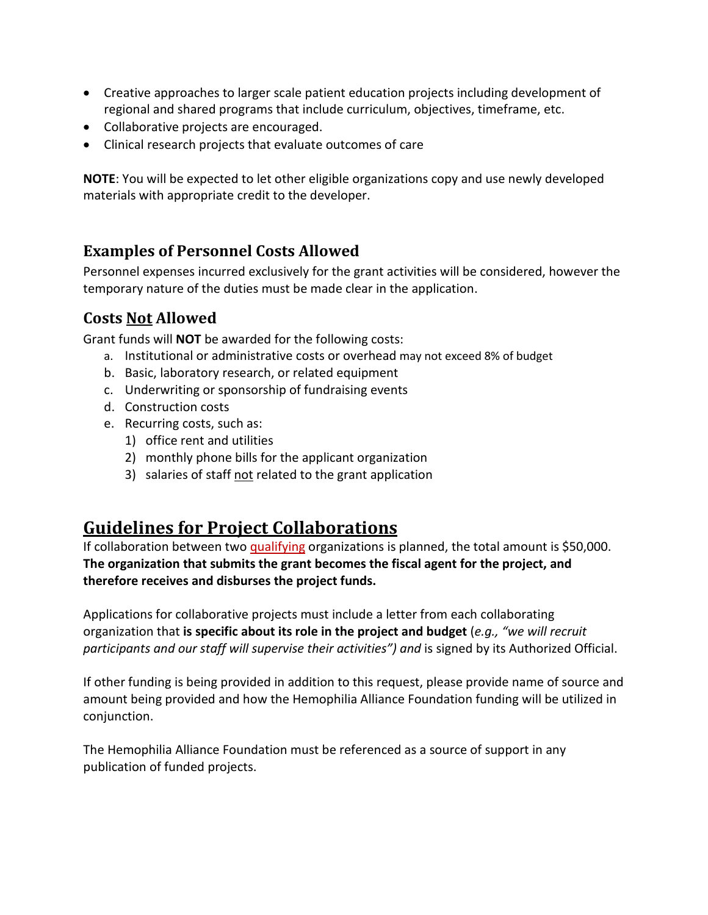- Creative approaches to larger scale patient education projects including development of regional and shared programs that include curriculum, objectives, timeframe, etc.
- Collaborative projects are encouraged.
- Clinical research projects that evaluate outcomes of care

**NOTE**: You will be expected to let other eligible organizations copy and use newly developed materials with appropriate credit to the developer.

#### **Examples of Personnel Costs Allowed**

Personnel expenses incurred exclusively for the grant activities will be considered, however the temporary nature of the duties must be made clear in the application.

#### **Costs Not Allowed**

Grant funds will **NOT** be awarded for the following costs:

- a. Institutional or administrative costs or overhead may not exceed 8% of budget
- b. Basic, laboratory research, or related equipment
- c. Underwriting or sponsorship of fundraising events
- d. Construction costs
- e. Recurring costs, such as:
	- 1) office rent and utilities
	- 2) monthly phone bills for the applicant organization
	- 3) salaries of staff not related to the grant application

### **Guidelines for Project Collaborations**

If collaboration between two qualifying organizations is planned, the total amount is \$50,000. **The organization that submits the grant becomes the fiscal agent for the project, and therefore receives and disburses the project funds.**

Applications for collaborative projects must include a letter from each collaborating organization that **is specific about its role in the project and budget** (*e.g., "we will recruit participants and our staff will supervise their activities") and* is signed by its Authorized Official.

If other funding is being provided in addition to this request, please provide name of source and amount being provided and how the Hemophilia Alliance Foundation funding will be utilized in conjunction.

The Hemophilia Alliance Foundation must be referenced as a source of support in any publication of funded projects.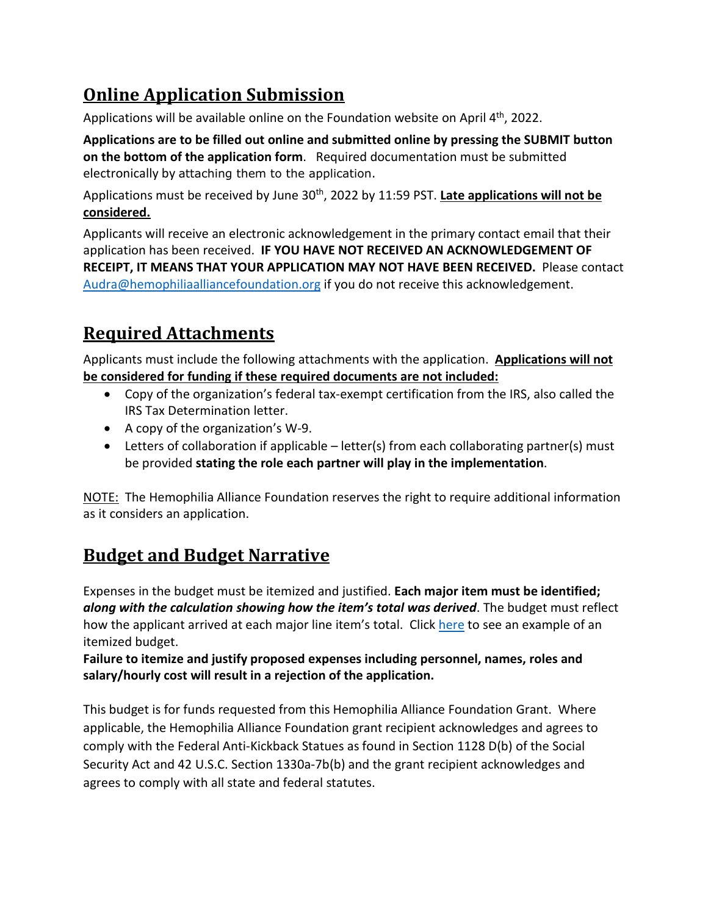# **Online Application Submission**

Applications will be available online on the Foundation website on April 4<sup>th</sup>, 2022.

**Applications are to be filled out online and submitted online by pressing the SUBMIT button on the bottom of the application form**. Required documentation must be submitted electronically by attaching them to the application.

Applications must be received by June 30th, 2022 by 11:59 PST. **Late applications will not be considered.**

Applicants will receive an electronic acknowledgement in the primary contact email that their application has been received. **IF YOU HAVE NOT RECEIVED AN ACKNOWLEDGEMENT OF RECEIPT, IT MEANS THAT YOUR APPLICATION MAY NOT HAVE BEEN RECEIVED.** Please contact [Audra@hemophiliaalliancefoundation.org](mailto:Audra@hemophiliaalliancefoundation.org) if you do not receive this acknowledgement.

# **Required Attachments**

Applicants must include the following attachments with the application. **Applications will not be considered for funding if these required documents are not included:**

- Copy of the organization's federal tax-exempt certification from the IRS, also called the IRS Tax Determination letter.
- A copy of the organization's W-9.
- Letters of collaboration if applicable letter(s) from each collaborating partner(s) must be provided **stating the role each partner will play in the implementation**.

NOTE: The Hemophilia Alliance Foundation reserves the right to require additional information as it considers an application.

# **Budget and Budget Narrative**

Expenses in the budget must be itemized and justified. **Each major item must be identified;** *along with the calculation showing how the item's total was derived*. The budget must reflect how the applicant arrived at each major line item's total. Click [here](https://hemophiliaalliancefoundation.org/wp-content/uploads/2021/12/Sample-Budget-Jusitification.pdf) to see an example of an itemized budget.

**Failure to itemize and justify proposed expenses including personnel, names, roles and salary/hourly cost will result in a rejection of the application.** 

This budget is for funds requested from this Hemophilia Alliance Foundation Grant. Where applicable, the Hemophilia Alliance Foundation grant recipient acknowledges and agrees to comply with the Federal Anti-Kickback Statues as found in Section 1128 D(b) of the Social Security Act and 42 U.S.C. Section 1330a-7b(b) and the grant recipient acknowledges and agrees to comply with all state and federal statutes.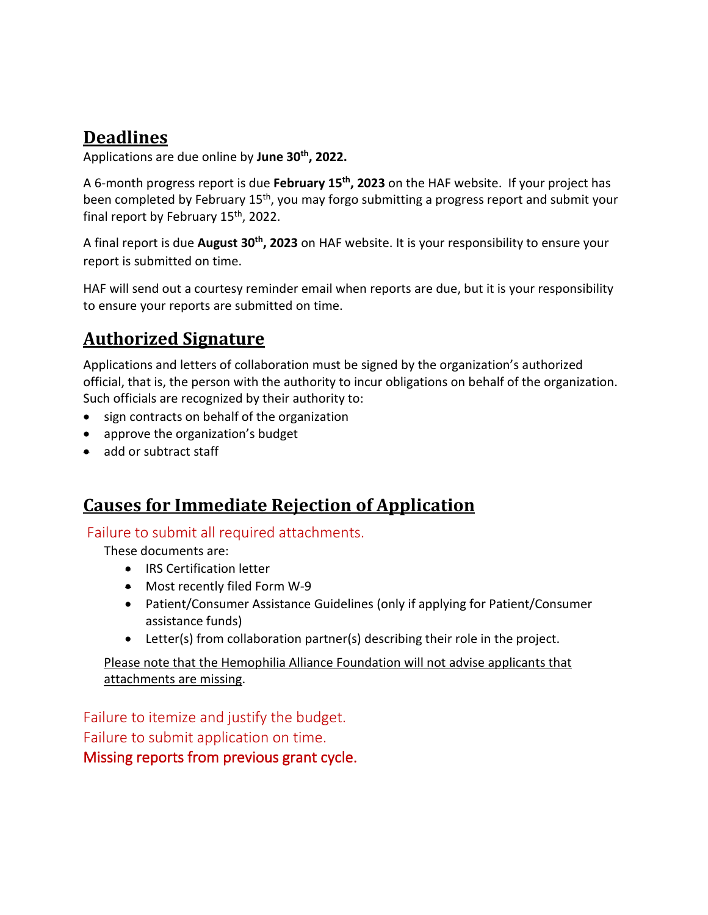## **Deadlines**

Applications are due online by **June 30th, 2022.**

A 6-month progress report is due **February 15th, 2023** on the HAF website. If your project has been completed by February 15<sup>th</sup>, you may forgo submitting a progress report and submit your final report by February 15<sup>th</sup>, 2022.

A final report is due **August 30th, 2023** on HAF website. It is your responsibility to ensure your report is submitted on time.

HAF will send out a courtesy reminder email when reports are due, but it is your responsibility to ensure your reports are submitted on time.

## **Authorized Signature**

Applications and letters of collaboration must be signed by the organization's authorized official, that is, the person with the authority to incur obligations on behalf of the organization. Such officials are recognized by their authority to:

- sign contracts on behalf of the organization
- approve the organization's budget
- add or subtract staff

## **Causes for Immediate Rejection of Application**

#### Failure to submit all required attachments.

These documents are:

- IRS Certification letter
- Most recently filed Form W-9
- Patient/Consumer Assistance Guidelines (only if applying for Patient/Consumer assistance funds)
- Letter(s) from collaboration partner(s) describing their role in the project.

Please note that the Hemophilia Alliance Foundation will not advise applicants that attachments are missing.

Failure to itemize and justify the budget. Failure to submit application on time. Missing reports from previous grant cycle.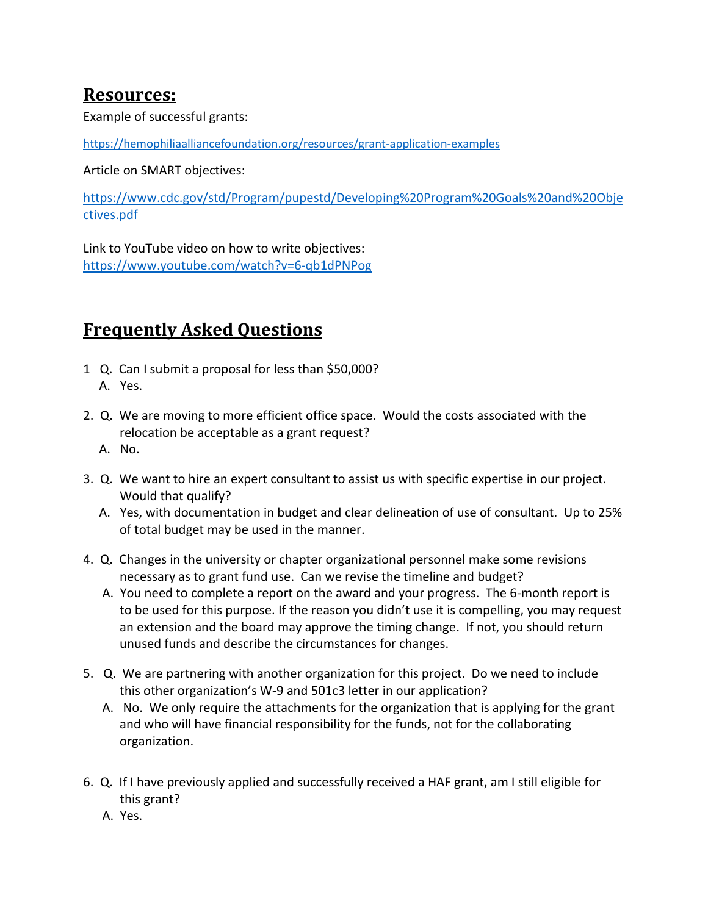### **Resources:**

Example of successful grants:

<https://hemophiliaalliancefoundation.org/resources/grant-application-examples>

Article on SMART objectives:

[https://www.cdc.gov/std/Program/pupestd/Developing%20Program%20Goals%20and%20Obje](https://www.cdc.gov/std/Program/pupestd/Developing%20Program%20Goals%20and%20Objectives.pdf) [ctives.pdf](https://www.cdc.gov/std/Program/pupestd/Developing%20Program%20Goals%20and%20Objectives.pdf)

Link to YouTube video on how to write objectives: <https://www.youtube.com/watch?v=6-qb1dPNPog>

## **Frequently Asked Questions**

- 1 Q. Can I submit a proposal for less than \$50,000? A. Yes.
- 2. Q. We are moving to more efficient office space. Would the costs associated with the relocation be acceptable as a grant request?
	- A. No.
- 3. Q. We want to hire an expert consultant to assist us with specific expertise in our project. Would that qualify?
	- A. Yes, with documentation in budget and clear delineation of use of consultant. Up to 25% of total budget may be used in the manner.
- 4. Q. Changes in the university or chapter organizational personnel make some revisions necessary as to grant fund use. Can we revise the timeline and budget?
	- A. You need to complete a report on the award and your progress. The 6-month report is to be used for this purpose. If the reason you didn't use it is compelling, you may request an extension and the board may approve the timing change. If not, you should return unused funds and describe the circumstances for changes.
- 5. Q. We are partnering with another organization for this project. Do we need to include this other organization's W-9 and 501c3 letter in our application?
	- A. No. We only require the attachments for the organization that is applying for the grant and who will have financial responsibility for the funds, not for the collaborating organization.
- 6. Q. If I have previously applied and successfully received a HAF grant, am I still eligible for this grant?
	- A. Yes.